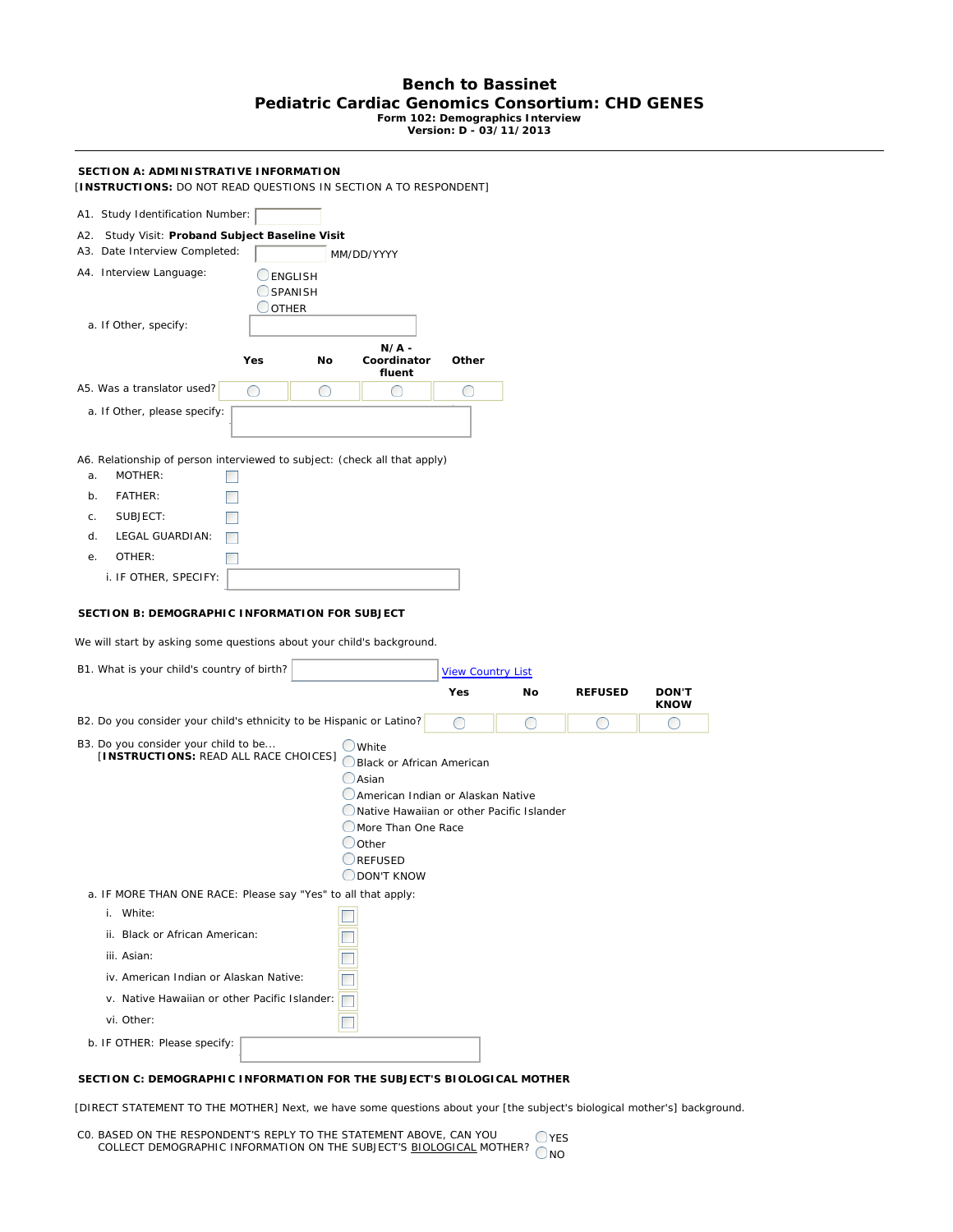## **Bench to Bassinet Pediatric Cardiac Genomics Consortium: CHD GENES Form 102: Demographics Interview Version: D - 03/11/2013**

## **SECTION A: ADMINISTRATIVE INFORMATION**

[**INSTRUCTIONS:** DO NOT READ QUESTIONS IN SECTION A TO RESPONDENT]

| A1. Study Identification Number:                                                                                                                                      |     |            |                                                                                |                          |            |                |                  |
|-----------------------------------------------------------------------------------------------------------------------------------------------------------------------|-----|------------|--------------------------------------------------------------------------------|--------------------------|------------|----------------|------------------|
| A2. Study Visit: Proband Subject Baseline Visit                                                                                                                       |     |            |                                                                                |                          |            |                |                  |
| A3. Date Interview Completed:                                                                                                                                         |     | MM/DD/YYYY |                                                                                |                          |            |                |                  |
| A4. Interview Language:<br>ENGLISH<br>SPANISH<br><b>OTHER</b>                                                                                                         |     |            |                                                                                |                          |            |                |                  |
| a. If Other, specify:                                                                                                                                                 |     |            |                                                                                |                          |            |                |                  |
|                                                                                                                                                                       | Yes | No         | $N/A$ -<br>Coordinator<br>fluent                                               | Other                    |            |                |                  |
| A5. Was a translator used?                                                                                                                                            | ∩   | O          | O                                                                              | ◯                        |            |                |                  |
| a. If Other, please specify:                                                                                                                                          |     |            |                                                                                |                          |            |                |                  |
| A6. Relationship of person interviewed to subject: (check all that apply)<br>MOTHER:<br>a.                                                                            |     |            |                                                                                |                          |            |                |                  |
| FATHER:<br>b.                                                                                                                                                         |     |            |                                                                                |                          |            |                |                  |
| SUBJECT:<br>C.                                                                                                                                                        |     |            |                                                                                |                          |            |                |                  |
| d.<br>LEGAL GUARDIAN:                                                                                                                                                 |     |            |                                                                                |                          |            |                |                  |
| OTHER:<br>е.                                                                                                                                                          |     |            |                                                                                |                          |            |                |                  |
| i. IF OTHER, SPECIFY:                                                                                                                                                 |     |            |                                                                                |                          |            |                |                  |
| SECTION B: DEMOGRAPHIC INFORMATION FOR SUBJECT<br>We will start by asking some questions about your child's background.<br>B1. What is your child's country of birth? |     |            |                                                                                | <b>View Country List</b> |            |                |                  |
|                                                                                                                                                                       |     |            |                                                                                | Yes                      | No         | <b>REFUSED</b> | <b>DON'T</b>     |
| B2. Do you consider your child's ethnicity to be Hispanic or Latino?                                                                                                  |     |            |                                                                                | ∩                        | $\bigcirc$ | O              | <b>KNOW</b><br>◯ |
| B3. Do you consider your child to be<br>[INSTRUCTIONS: READ ALL RACE CHOICES]                                                                                         |     |            | $\bigcup$ White<br>Black or African American                                   |                          |            |                |                  |
|                                                                                                                                                                       |     |            | $\bigcirc$ Asian                                                               |                          |            |                |                  |
|                                                                                                                                                                       |     |            | American Indian or Alaskan Native<br>Native Hawaiian or other Pacific Islander |                          |            |                |                  |
|                                                                                                                                                                       |     |            | More Than One Race                                                             |                          |            |                |                  |
|                                                                                                                                                                       |     |            | $\bigcirc$ Other                                                               |                          |            |                |                  |
|                                                                                                                                                                       |     |            | REFUSED<br>ODON'T KNOW                                                         |                          |            |                |                  |
| a. IF MORE THAN ONE RACE: Please say "Yes" to all that apply:                                                                                                         |     |            |                                                                                |                          |            |                |                  |
| i. White:                                                                                                                                                             |     |            |                                                                                |                          |            |                |                  |
| ii. Black or African American:                                                                                                                                        |     |            |                                                                                |                          |            |                |                  |
| iii. Asian:                                                                                                                                                           |     |            |                                                                                |                          |            |                |                  |
| iv. American Indian or Alaskan Native:                                                                                                                                |     |            |                                                                                |                          |            |                |                  |
| v. Native Hawaiian or other Pacific Islander:                                                                                                                         |     |            |                                                                                |                          |            |                |                  |
| vi. Other:                                                                                                                                                            |     |            |                                                                                |                          |            |                |                  |
|                                                                                                                                                                       |     |            |                                                                                |                          |            |                |                  |
| b. IF OTHER: Please specify:                                                                                                                                          |     |            |                                                                                |                          |            |                |                  |

## **SECTION C: DEMOGRAPHIC INFORMATION FOR THE SUBJECT'S BIOLOGICAL MOTHER**

[DIRECT STATEMENT TO THE MOTHER] Next, we have some questions about your [the subject's biological mother's] background.

C0. BASED ON THE RESPONDENT'S REPLY TO THE STATEMENT ABOVE, CAN YOU COLLECT DEMOGRAPHIC INFORMATION ON THE SUBJECT'S BIOLOGICAL MOTHER? NO OYES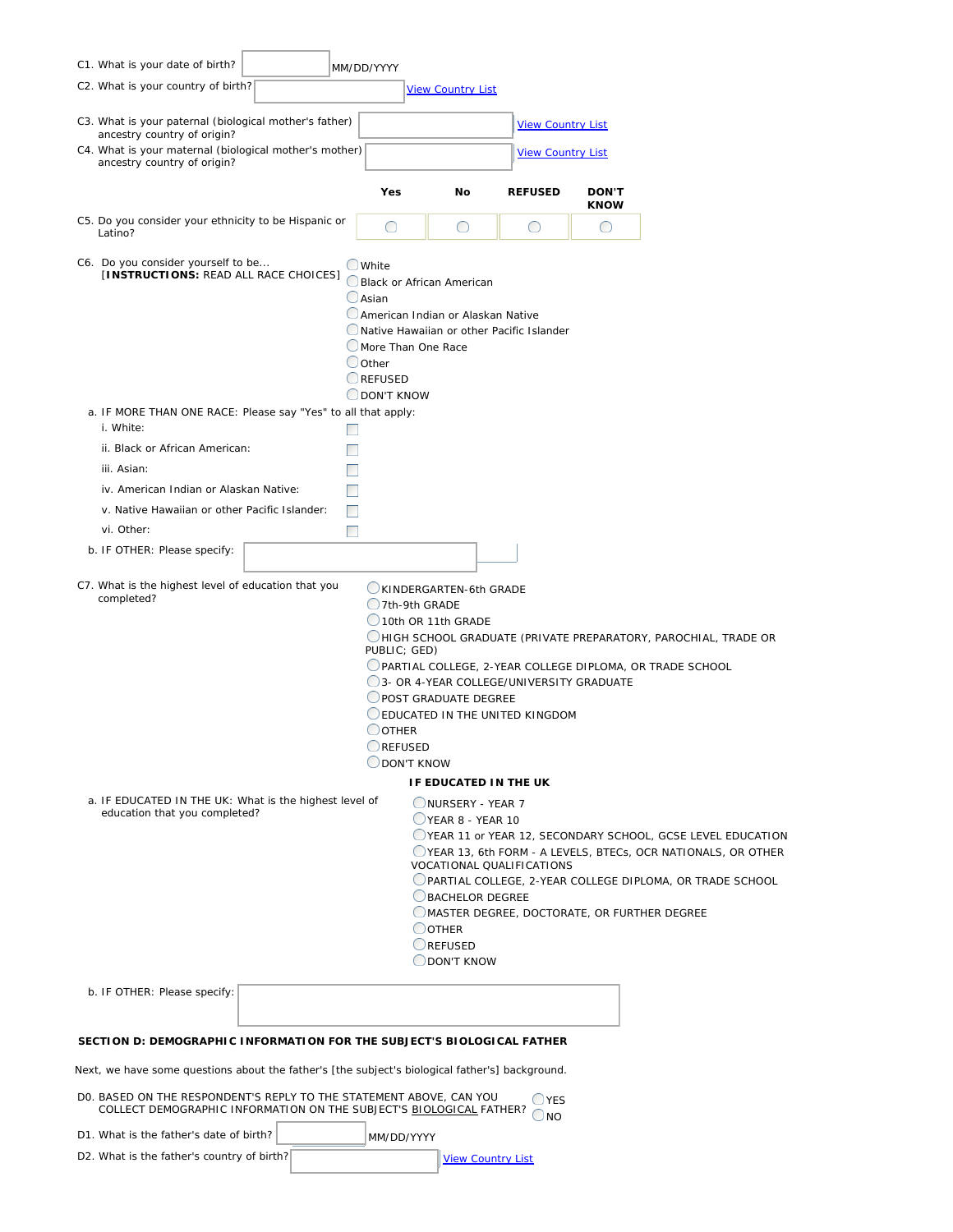|                                                                                                                                                                              | C1. What is your date of birth?                                                                                                                                                                                                                                                                                 |  | MM/DD/YYYY                                               |                                                                                             |                                                                           |                             |                                                                                                                                                                                         |  |
|------------------------------------------------------------------------------------------------------------------------------------------------------------------------------|-----------------------------------------------------------------------------------------------------------------------------------------------------------------------------------------------------------------------------------------------------------------------------------------------------------------|--|----------------------------------------------------------|---------------------------------------------------------------------------------------------|---------------------------------------------------------------------------|-----------------------------|-----------------------------------------------------------------------------------------------------------------------------------------------------------------------------------------|--|
|                                                                                                                                                                              | C2. What is your country of birth?                                                                                                                                                                                                                                                                              |  |                                                          | <b>View Country List</b>                                                                    |                                                                           |                             |                                                                                                                                                                                         |  |
|                                                                                                                                                                              | C3. What is your paternal (biological mother's father)                                                                                                                                                                                                                                                          |  |                                                          |                                                                                             | <b>View Country List</b>                                                  |                             |                                                                                                                                                                                         |  |
|                                                                                                                                                                              | ancestry country of origin?<br>C4. What is your maternal (biological mother's mother)<br>ancestry country of origin?                                                                                                                                                                                            |  |                                                          |                                                                                             | <b>View Country List</b>                                                  |                             |                                                                                                                                                                                         |  |
|                                                                                                                                                                              |                                                                                                                                                                                                                                                                                                                 |  | Yes                                                      | No                                                                                          | <b>REFUSED</b>                                                            | <b>DON'T</b><br><b>KNOW</b> |                                                                                                                                                                                         |  |
|                                                                                                                                                                              | C5. Do you consider your ethnicity to be Hispanic or<br>Latino?                                                                                                                                                                                                                                                 |  | O                                                        | O                                                                                           | O                                                                         | O                           |                                                                                                                                                                                         |  |
|                                                                                                                                                                              | C6. Do you consider yourself to be<br>[INSTRUCTIONS: READ ALL RACE CHOICES]                                                                                                                                                                                                                                     |  | OWhite<br>$O$ Asian<br>Oother<br>REFUSED<br>O DON'T KNOW | Black or African American<br>American Indian or Alaskan Native<br>More Than One Race        | Native Hawaiian or other Pacific Islander                                 |                             |                                                                                                                                                                                         |  |
|                                                                                                                                                                              | a. IF MORE THAN ONE RACE: Please say "Yes" to all that apply:<br>i. White:                                                                                                                                                                                                                                      |  |                                                          |                                                                                             |                                                                           |                             |                                                                                                                                                                                         |  |
|                                                                                                                                                                              | ii. Black or African American:                                                                                                                                                                                                                                                                                  |  |                                                          |                                                                                             |                                                                           |                             |                                                                                                                                                                                         |  |
|                                                                                                                                                                              | iii. Asian:                                                                                                                                                                                                                                                                                                     |  |                                                          |                                                                                             |                                                                           |                             |                                                                                                                                                                                         |  |
|                                                                                                                                                                              | iv. American Indian or Alaskan Native:                                                                                                                                                                                                                                                                          |  |                                                          |                                                                                             |                                                                           |                             |                                                                                                                                                                                         |  |
|                                                                                                                                                                              | v. Native Hawaiian or other Pacific Islander:                                                                                                                                                                                                                                                                   |  | n.                                                       |                                                                                             |                                                                           |                             |                                                                                                                                                                                         |  |
|                                                                                                                                                                              | vi. Other:                                                                                                                                                                                                                                                                                                      |  | T.                                                       |                                                                                             |                                                                           |                             |                                                                                                                                                                                         |  |
|                                                                                                                                                                              | b. IF OTHER: Please specify:                                                                                                                                                                                                                                                                                    |  |                                                          |                                                                                             |                                                                           |                             |                                                                                                                                                                                         |  |
|                                                                                                                                                                              | C7. What is the highest level of education that you<br>completed?                                                                                                                                                                                                                                               |  |                                                          | KINDERGARTEN-6th GRADE<br>$Q$ 7th-9th GRADE                                                 |                                                                           |                             |                                                                                                                                                                                         |  |
|                                                                                                                                                                              | 10th OR 11th GRADE<br>OHIGH SCHOOL GRADUATE (PRIVATE PREPARATORY, PAROCHIAL, TRADE OR<br>PUBLIC; GED)<br>OPARTIAL COLLEGE, 2-YEAR COLLEGE DIPLOMA, OR TRADE SCHOOL<br>3- OR 4-YEAR COLLEGE/UNIVERSITY GRADUATE<br>POST GRADUATE DEGREE<br>EDUCATED IN THE UNITED KINGDOM<br>$O$ other<br>REFUSED<br>ODON'T KNOW |  |                                                          |                                                                                             |                                                                           |                             |                                                                                                                                                                                         |  |
|                                                                                                                                                                              |                                                                                                                                                                                                                                                                                                                 |  |                                                          | IF EDUCATED IN THE UK                                                                       |                                                                           |                             |                                                                                                                                                                                         |  |
|                                                                                                                                                                              | a. IF EDUCATED IN THE UK: What is the highest level of<br>education that you completed?                                                                                                                                                                                                                         |  |                                                          | NURSERY - YEAR 7<br>VEAR 8 - YEAR 10<br>BACHELOR DEGREE<br>OOTHER<br>REFUSED<br>ODON'T KNOW | VOCATIONAL QUALIFICATIONS<br>OMASTER DEGREE, DOCTORATE, OR FURTHER DEGREE |                             | VEAR 11 or YEAR 12, SECONDARY SCHOOL, GCSE LEVEL EDUCATION<br>OYEAR 13, 6th FORM - A LEVELS, BTECs, OCR NATIONALS, OR OTHER<br>PARTIAL COLLEGE, 2-YEAR COLLEGE DIPLOMA, OR TRADE SCHOOL |  |
|                                                                                                                                                                              | b. IF OTHER: Please specify:                                                                                                                                                                                                                                                                                    |  |                                                          |                                                                                             |                                                                           |                             |                                                                                                                                                                                         |  |
| SECTION D: DEMOGRAPHIC INFORMATION FOR THE SUBJECT'S BIOLOGICAL FATHER                                                                                                       |                                                                                                                                                                                                                                                                                                                 |  |                                                          |                                                                                             |                                                                           |                             |                                                                                                                                                                                         |  |
| Next, we have some questions about the father's [the subject's biological father's] background.                                                                              |                                                                                                                                                                                                                                                                                                                 |  |                                                          |                                                                                             |                                                                           |                             |                                                                                                                                                                                         |  |
| DO. BASED ON THE RESPONDENT'S REPLY TO THE STATEMENT ABOVE, CAN YOU<br>$\bigcup$ YES<br>COLLECT DEMOGRAPHIC INFORMATION ON THE SUBJECT'S BIOLOGICAL FATHER?<br>$\bigcirc$ NO |                                                                                                                                                                                                                                                                                                                 |  |                                                          |                                                                                             |                                                                           |                             |                                                                                                                                                                                         |  |
|                                                                                                                                                                              | D1. What is the father's date of birth?                                                                                                                                                                                                                                                                         |  |                                                          | MM/DD/YYYY                                                                                  |                                                                           |                             |                                                                                                                                                                                         |  |
|                                                                                                                                                                              | D2. What is the father's country of birth?                                                                                                                                                                                                                                                                      |  |                                                          |                                                                                             | <b>View Country List</b>                                                  |                             |                                                                                                                                                                                         |  |